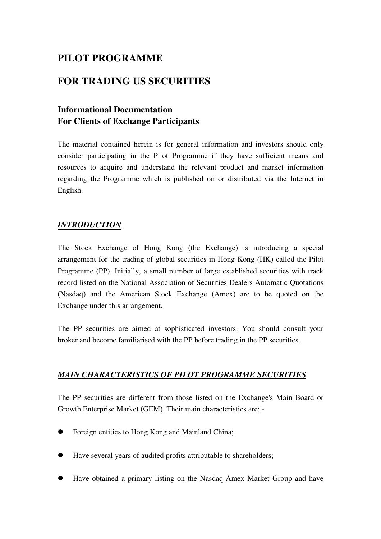# **PILOT PROGRAMME**

# **FOR TRADING US SECURITIES**

## **Informational Documentation For Clients of Exchange Participants**

The material contained herein is for general information and investors should only consider participating in the Pilot Programme if they have sufficient means and resources to acquire and understand the relevant product and market information regarding the Programme which is published on or distributed via the Internet in English.

### *INTRODUCTION*

The Stock Exchange of Hong Kong (the Exchange) is introducing a special arrangement for the trading of global securities in Hong Kong (HK) called the Pilot Programme (PP). Initially, a small number of large established securities with track record listed on the National Association of Securities Dealers Automatic Quotations (Nasdaq) and the American Stock Exchange (Amex) are to be quoted on the Exchange under this arrangement.

The PP securities are aimed at sophisticated investors. You should consult your broker and become familiarised with the PP before trading in the PP securities.

### *MAIN CHARACTERISTICS OF PILOT PROGRAMME SECURITIES*

The PP securities are different from those listed on the Exchange's Main Board or Growth Enterprise Market (GEM). Their main characteristics are: -

- Foreign entities to Hong Kong and Mainland China;
- Have several years of audited profits attributable to shareholders;
- Have obtained a primary listing on the Nasdaq-Amex Market Group and have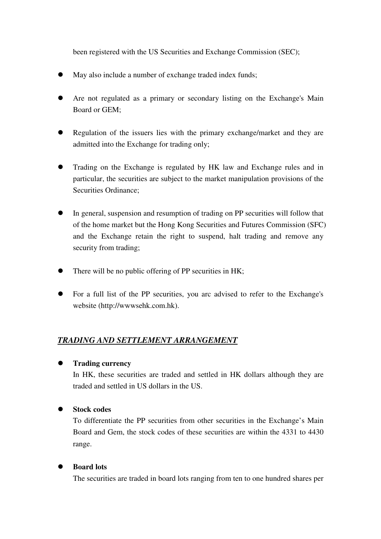been registered with the US Securities and Exchange Commission (SEC);

- May also include a number of exchange traded index funds;
- Are not regulated as a primary or secondary listing on the Exchange's Main Board or GEM;
- Regulation of the issuers lies with the primary exchange/market and they are admitted into the Exchange for trading only;
- Trading on the Exchange is regulated by HK law and Exchange rules and in particular, the securities are subject to the market manipulation provisions of the Securities Ordinance;
- In general, suspension and resumption of trading on PP securities will follow that of the home market but the Hong Kong Securities and Futures Commission (SFC) and the Exchange retain the right to suspend, halt trading and remove any security from trading;
- There will be no public offering of PP securities in HK;
- For a full list of the PP securities, you arc advised to refer to the Exchange's website (http://wwwsehk.com.hk).

### *TRADING AND SETTLEMENT ARRANGEMENT*

#### **Trading currency**

In HK, these securities are traded and settled in HK dollars although they are traded and settled in US dollars in the US.

### **Stock codes**

To differentiate the PP securities from other securities in the Exchange's Main Board and Gem, the stock codes of these securities are within the 4331 to 4430 range.

#### **Board lots**

The securities are traded in board lots ranging from ten to one hundred shares per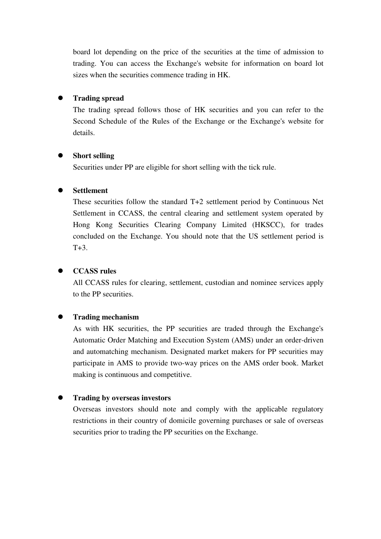board lot depending on the price of the securities at the time of admission to trading. You can access the Exchange's website for information on board lot sizes when the securities commence trading in HK.

#### **Trading spread**

The trading spread follows those of HK securities and you can refer to the Second Schedule of the Rules of the Exchange or the Exchange's website for details.

#### **Short selling**

Securities under PP are eligible for short selling with the tick rule.

#### **Settlement**

These securities follow the standard T+2 settlement period by Continuous Net Settlement in CCASS, the central clearing and settlement system operated by Hong Kong Securities Clearing Company Limited (HKSCC), for trades concluded on the Exchange. You should note that the US settlement period is  $T+3$ .

#### **CCASS rules**

All CCASS rules for clearing, settlement, custodian and nominee services apply to the PP securities.

#### **Trading mechanism**

As with HK securities, the PP securities are traded through the Exchange's Automatic Order Matching and Execution System (AMS) under an order-driven and automatching mechanism. Designated market makers for PP securities may participate in AMS to provide two-way prices on the AMS order book. Market making is continuous and competitive.

#### **Trading by overseas investors**

Overseas investors should note and comply with the applicable regulatory restrictions in their country of domicile governing purchases or sale of overseas securities prior to trading the PP securities on the Exchange.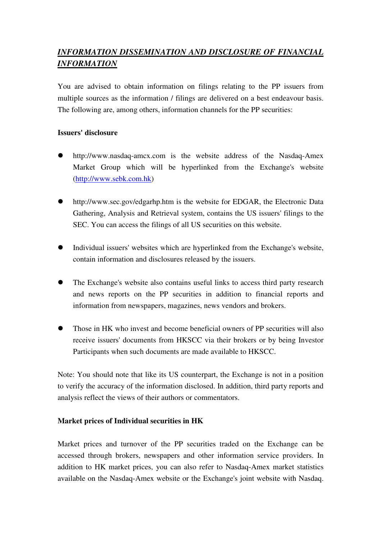## *INFORMATION DISSEMINATION AND DISCLOSURE OF FINANCIAL INFORMATION*

You are advised to obtain information on filings relating to the PP issuers from multiple sources as the information / filings are delivered on a best endeavour basis. The following are, among others, information channels for the PP securities:

#### **Issuers' disclosure**

- http://www.nasdaq-amcx.com is the website address of the Nasdaq-Amex Market Group which will be hyperlinked from the Exchange's website (http://www.sebk.com.hk)
- http://www.sec.gov/edgarhp.htm is the website for EDGAR, the Electronic Data Gathering, Analysis and Retrieval system, contains the US issuers' filings to the SEC. You can access the filings of all US securities on this website.
- Individual issuers' websites which are hyperlinked from the Exchange's website, contain information and disclosures released by the issuers.
- The Exchange's website also contains useful links to access third party research and news reports on the PP securities in addition to financial reports and information from newspapers, magazines, news vendors and brokers.
- Those in HK who invest and become beneficial owners of PP securities will also receive issuers' documents from HKSCC via their brokers or by being Investor Participants when such documents are made available to HKSCC.

Note: You should note that like its US counterpart, the Exchange is not in a position to verify the accuracy of the information disclosed. In addition, third party reports and analysis reflect the views of their authors or commentators.

#### **Market prices of Individual securities in HK**

Market prices and turnover of the PP securities traded on the Exchange can be accessed through brokers, newspapers and other information service providers. In addition to HK market prices, you can also refer to Nasdaq-Amex market statistics available on the Nasdaq-Amex website or the Exchange's joint website with Nasdaq.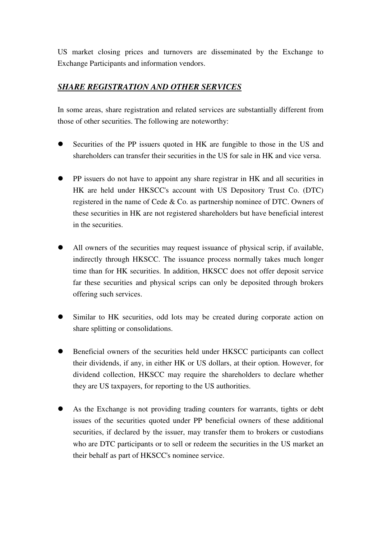US market closing prices and turnovers are disseminated by the Exchange to Exchange Participants and information vendors.

## *SHARE REGISTRATION AND OTHER SERVICES*

In some areas, share registration and related services are substantially different from those of other securities. The following are noteworthy:

- Securities of the PP issuers quoted in HK are fungible to those in the US and shareholders can transfer their securities in the US for sale in HK and vice versa.
- PP issuers do not have to appoint any share registrar in HK and all securities in HK are held under HKSCC's account with US Depository Trust Co. (DTC) registered in the name of Cede & Co. as partnership nominee of DTC. Owners of these securities in HK are not registered shareholders but have beneficial interest in the securities.
- All owners of the securities may request issuance of physical scrip, if available, indirectly through HKSCC. The issuance process normally takes much longer time than for HK securities. In addition, HKSCC does not offer deposit service far these securities and physical scrips can only be deposited through brokers offering such services.
- Similar to HK securities, odd lots may be created during corporate action on share splitting or consolidations.
- Beneficial owners of the securities held under HKSCC participants can collect their dividends, if any, in either HK or US dollars, at their option. However, for dividend collection, HKSCC may require the shareholders to declare whether they are US taxpayers, for reporting to the US authorities.
- As the Exchange is not providing trading counters for warrants, tights or debt issues of the securities quoted under PP beneficial owners of these additional securities, if declared by the issuer, may transfer them to brokers or custodians who are DTC participants or to sell or redeem the securities in the US market an their behalf as part of HKSCC's nominee service.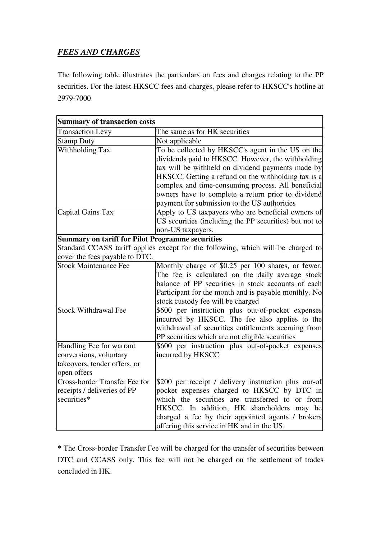## *FEES AND CHARGES*

The following table illustrates the particulars on fees and charges relating to the PP securities. For the latest HKSCC fees and charges, please refer to HKSCC's hotline at 2979-7000

| <b>Summary of transaction costs</b>                     |                                                                                  |
|---------------------------------------------------------|----------------------------------------------------------------------------------|
| <b>Transaction Levy</b>                                 | The same as for HK securities                                                    |
| <b>Stamp Duty</b>                                       | Not applicable                                                                   |
| <b>Withholding Tax</b>                                  | To be collected by HKSCC's agent in the US on the                                |
|                                                         | dividends paid to HKSCC. However, the withholding                                |
|                                                         | tax will be withheld on dividend payments made by                                |
|                                                         | HKSCC. Getting a refund on the withholding tax is a                              |
|                                                         | complex and time-consuming process. All beneficial                               |
|                                                         | owners have to complete a return prior to dividend                               |
|                                                         | payment for submission to the US authorities                                     |
| Capital Gains Tax                                       | Apply to US taxpayers who are beneficial owners of                               |
|                                                         | US securities (including the PP securities) but not to                           |
|                                                         | non-US taxpayers.                                                                |
| <b>Summary on tariff for Pilot Programme securities</b> |                                                                                  |
|                                                         | Standard CCASS tariff applies except for the following, which will be charged to |
| cover the fees payable to DTC.                          |                                                                                  |
| <b>Stock Maintenance Fee</b>                            | Monthly charge of \$0.25 per 100 shares, or fewer.                               |
|                                                         | The fee is calculated on the daily average stock                                 |
|                                                         | balance of PP securities in stock accounts of each                               |
|                                                         | Participant for the month and is payable monthly. No                             |
|                                                         | stock custody fee will be charged                                                |
| <b>Stock Withdrawal Fee</b>                             | \$600 per instruction plus out-of-pocket expenses                                |
|                                                         | incurred by HKSCC. The fee also applies to the                                   |
|                                                         | withdrawal of securities entitlements accruing from                              |
|                                                         | PP securities which are not eligible securities                                  |
| Handling Fee for warrant                                | \$600 per instruction plus out-of-pocket expenses                                |
| conversions, voluntary                                  | incurred by HKSCC                                                                |
| takeovers, tender offers, or                            |                                                                                  |
| open offers                                             |                                                                                  |
| <b>Cross-border Transfer Fee for</b>                    | \$200 per receipt / delivery instruction plus our-of                             |
| receipts / deliveries of PP                             | pocket expenses charged to HKSCC by DTC in                                       |
| securities*                                             | which the securities are transferred to or from                                  |
|                                                         | HKSCC. In addition, HK shareholders may be                                       |
|                                                         | charged a fee by their appointed agents / brokers                                |
|                                                         | offering this service in HK and in the US.                                       |

\* The Cross-border Transfer Fee will be charged for the transfer of securities between DTC and CCASS only. This fee will not be charged on the settlement of trades concluded in HK.